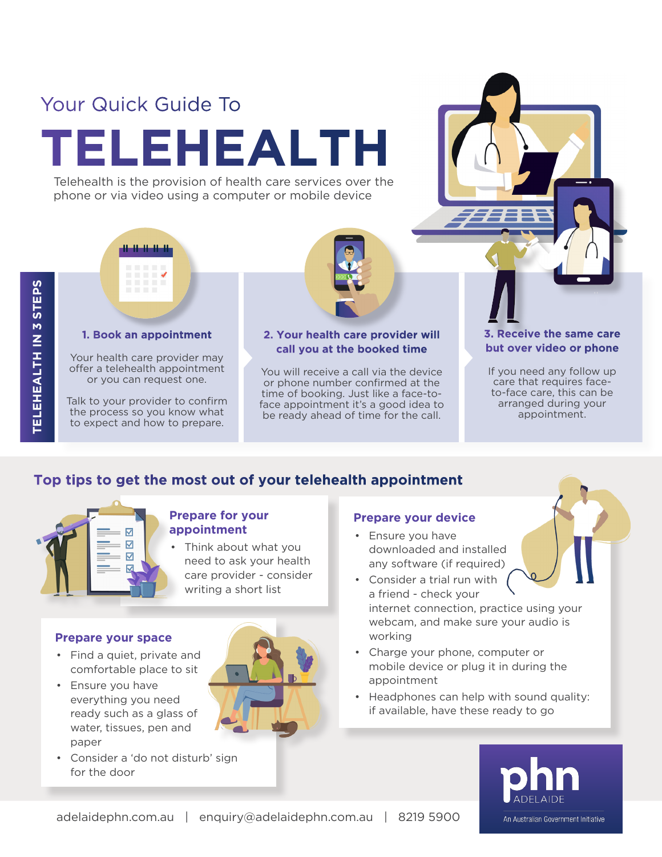# Your Quick Guide To

# **TELEHEALTH**

Telehealth is the provision of health care services over the phone or via video using a computer or mobile device



Your health care provider may offer a telehealth appointment or you can request one.

Talk to your provider to confirm the process so you know what to expect and how to prepare.



#### **2. Your health care provider will call you at the booked time**

You will receive a call via the device or phone number confirmed at the time of booking. Just like a face-toface appointment it's a good idea to be ready ahead of time for the call.

# **3. Receive the same care but over video or phone**

If you need any follow up care that requires faceto-face care, this can be arranged during your appointment.

# **Top tips to get the most out of your telehealth appointment**



#### **Prepare for your appointment**

• Think about what you need to ask your health care provider - consider writing a short list

## **Prepare your space**

- Find a quiet, private and comfortable place to sit
- Ensure you have everything you need ready such as a glass of water, tissues, pen and paper
- Consider a 'do not disturb' sign for the door



## **Prepare your device**

- Ensure you have downloaded and installed any software (if required)
- Consider a trial run with a friend - check your internet connection, practice using your webcam, and make sure your audio is working
- Charge your phone, computer or mobile device or plug it in during the appointment
- Headphones can help with sound quality: if available, have these ready to go